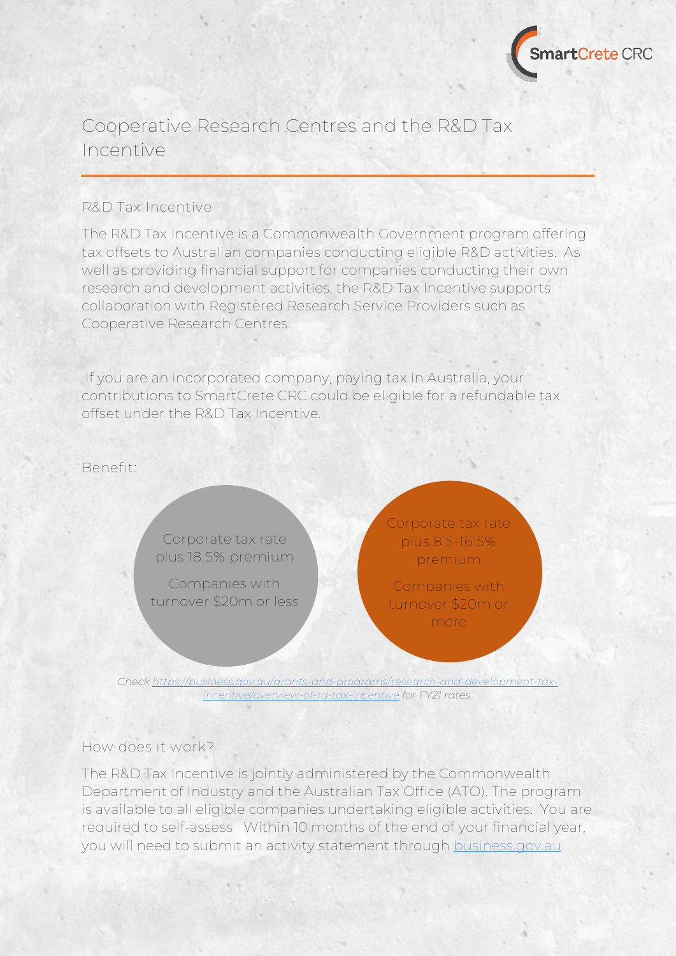

## Cooperative Research Centres and the R&D Tax Incentive

## **R&D Tax Incentive**

The R&D Tax Incentive is a Commonwealth Government program offering tax offsets to Australian companies conducting eligible R&D activities. As well as providing financial support for companies conducting their own research and development activities, the R&D Tax Incentive supports collaboration with Registered Research Service Providers such as Cooperative Research Centres.

If you are an incorporated company, paying tax in Australia, your contributions to SmartCrete CRC could be eligible for a refundable tax offset under the R&D Tax Incentive.

**Benefit:**

Corporate tax rate plus **18.5%** premium

Companies with turnover \$20m or less Corporate tax rate plus **8.5-16.5%** premium

Companies with turnover \$20m or more

*Check [https://business.gov.au/grants-and-programs/research-and-development-tax](https://business.gov.au/grants-and-programs/research-and-development-tax-incentive/overview-of-rd-tax-incentive)[incentive/overview-of-rd-tax-incentive](https://business.gov.au/grants-and-programs/research-and-development-tax-incentive/overview-of-rd-tax-incentive) for FY21 rates.*

## **How does it work?**

The R&D Tax Incentive is jointly administered by the Commonwealth Department of Industry and the Australian Tax Office (ATO). The program is available to all eligible companies undertaking eligible activities. You are required to self-assess Within 10 months of the end of your financial year, you will need to submit an activity statement through [business.gov.au.](https://business.gov.au/grants-and-programs/research-and-development-tax-incentive/overview-of-rd-tax-incentive)